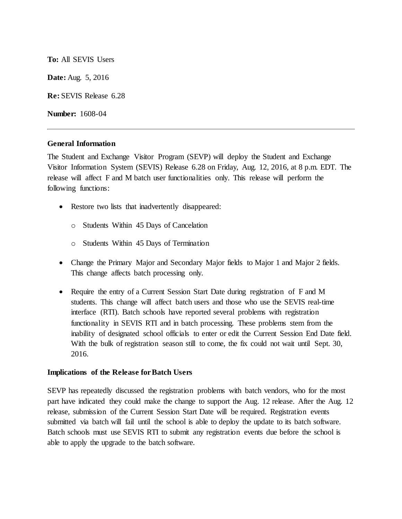**To:** All SEVIS Users

**Date:** Aug. 5, 2016

**Re:** SEVIS Release 6.28

**Number:** 1608-04

### **General Information**

The Student and Exchange Visitor Program (SEVP) will deploy the Student and Exchange Visitor Information System (SEVIS) Release 6.28 on Friday, Aug. 12, 2016, at 8 p.m. EDT. The release will affect F and M batch user functionalities only. This release will perform the following functions:

- Restore two lists that inadvertently disappeared:
	- o Students Within 45 Days of Cancelation
	- o Students Within 45 Days of Termination
- Change the Primary Major and Secondary Major fields to Major 1 and Major 2 fields. This change affects batch processing only.
- Require the entry of a Current Session Start Date during registration of F and M students. This change will affect batch users and those who use the SEVIS real-time interface (RTI). Batch schools have reported several problems with registration functionality in SEVIS RTI and in batch processing. These problems stem from the inability of designated school officials to enter or edit the Current Session End Date field. With the bulk of registration season still to come, the fix could not wait until Sept. 30, 2016.

## **Implications of the Release forBatch Users**

SEVP has repeatedly discussed the registration problems with batch vendors, who for the most part have indicated they could make the change to support the Aug. 12 release. After the Aug. 12 release, submission of the Current Session Start Date will be required. Registration events submitted via batch will fail until the school is able to deploy the update to its batch software. Batch schools must use SEVIS RTI to submit any registration events due before the school is able to apply the upgrade to the batch software.